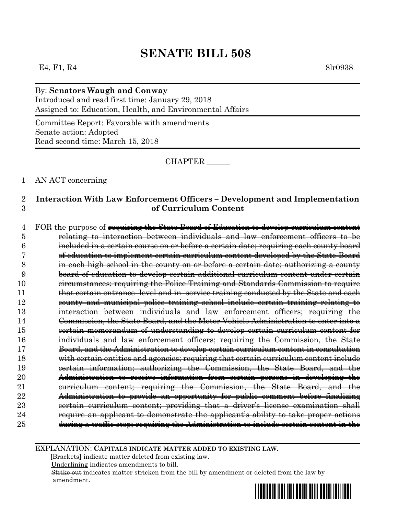#### E4, F1, R4 8lr0938

# By: **Senators Waugh and Conway**

Introduced and read first time: January 29, 2018 Assigned to: Education, Health, and Environmental Affairs

Committee Report: Favorable with amendments Senate action: Adopted Read second time: March 15, 2018

CHAPTER \_\_\_\_\_\_

#### 1 AN ACT concerning

## 2 **Interaction With Law Enforcement Officers – Development and Implementation**  3 **of Curriculum Content**

4 FOR the purpose of requiring the State Board of Education to develop curriculum content relating to interaction between individuals and law enforcement officers to be included in a certain course on or before a certain date; requiring each county board of education to implement certain curriculum content developed by the State Board in each high school in the county on or before a certain date; authorizing a county board of education to develop certain additional curriculum content under certain circumstances; requiring the Police Training and Standards Commission to require 11 that certain entrance–level and in–service training conducted by the State and each county and municipal police training school include certain training relating to interaction between individuals and law enforcement officers; requiring the Commission, the State Board, and the Motor Vehicle Administration to enter into a certain memorandum of understanding to develop certain curriculum content for individuals and law enforcement officers; requiring the Commission, the State Board, and the Administration to develop certain curriculum content in consultation with certain entities and agencies; requiring that certain curriculum content include certain information; authorizing the Commission, the State Board, and the Administration to receive information from certain persons in developing the curriculum content; requiring the Commission, the State Board, and the Administration to provide an opportunity for public comment before finalizing certain curriculum content; providing that a driver's license examination shall require an applicant to demonstrate the applicant's ability to take proper actions during a traffic stop; requiring the Administration to include certain content in the

EXPLANATION: **CAPITALS INDICATE MATTER ADDED TO EXISTING LAW**.

 **[**Brackets**]** indicate matter deleted from existing law.

Underlining indicates amendments to bill.

Strike out indicates matter stricken from the bill by amendment or deleted from the law by amendment.

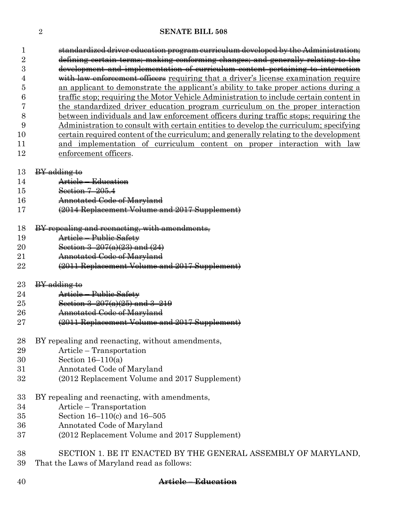| 1              | standardized driver education program curriculum developed by the Administration;      |
|----------------|----------------------------------------------------------------------------------------|
| $\overline{2}$ | defining certain terms; making conforming changes; and generally relating to the       |
| 3              | development and implementation of curriculum content pertaining to interaction         |
| 4              | with law enforcement officers requiring that a driver's license examination require    |
| 5              | an applicant to demonstrate the applicant's ability to take proper actions during a    |
| 6              | traffic stop; requiring the Motor Vehicle Administration to include certain content in |
|                | the standardized driver education program curriculum on the proper interaction         |
| 8              | between individuals and law enforcement officers during traffic stops; requiring the   |
| 9              | Administration to consult with certain entities to develop the curriculum; specifying  |
| 10             | certain required content of the curriculum; and generally relating to the development  |
| 11             | and implementation of curriculum content on proper interaction with law                |
| 12             | enforcement officers.                                                                  |
|                |                                                                                        |
| 13             | <b>BY</b> adding to                                                                    |
| 14             | Article – Education                                                                    |
| 15             | Section 7-205.4                                                                        |
| 16             | Annotated Code of Maryland                                                             |
| 17             | (2014 Replacement Volume and 2017 Supplement)                                          |
|                |                                                                                        |
| 18             | BY repealing and reenacting, with amendments,                                          |
| 19             | Article - Public Safety                                                                |
| 20             | Section $3-207(a)(23)$ and $(24)$                                                      |
| 21             | Annotated Code of Maryland                                                             |
| 22             | (2011 Replacement Volume and 2017 Supplement)                                          |
| $^{23}$        | BY adding to                                                                           |
| 24             | Article - Public Safety                                                                |
| 25             | Section $3-207(a)(25)$ and $3-219$                                                     |
| $26\,$         | Annotated Code of Maryland                                                             |
| $27\,$         | (2011 Replacement Volume and 2017 Supplement)                                          |
|                |                                                                                        |
| 28             | BY repealing and reenacting, without amendments,                                       |
| 29             | Article – Transportation                                                               |
| 30             | Section $16-110(a)$                                                                    |
| 31             | Annotated Code of Maryland                                                             |
| 32             | (2012 Replacement Volume and 2017 Supplement)                                          |
|                |                                                                                        |
| 33             | BY repealing and reenacting, with amendments,                                          |
| 34             | Article – Transportation                                                               |
| 35             | Section 16-110(c) and 16-505                                                           |
| 36             | Annotated Code of Maryland                                                             |
| 37             | (2012 Replacement Volume and 2017 Supplement)                                          |
|                |                                                                                        |
| 38             | SECTION 1. BE IT ENACTED BY THE GENERAL ASSEMBLY OF MARYLAND,                          |
| 39             | That the Laws of Maryland read as follows:                                             |

**Article – Education**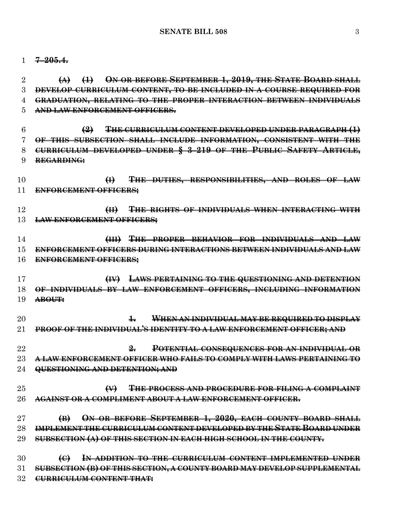**7–205.4.**

 **(A) (1) ON OR BEFORE SEPTEMBER 1, 2019, THE STATE BOARD SHALL DEVELOP CURRICULUM CONTENT, TO BE INCLUDED IN A COURSE REQUIRED FOR GRADUATION, RELATING TO THE PROPER INTERACTION BETWEEN INDIVIDUALS AND LAW ENFORCEMENT OFFICERS.**

 **(2) THE CURRICULUM CONTENT DEVELOPED UNDER PARAGRAPH (1) OF THIS SUBSECTION SHALL INCLUDE INFORMATION, CONSISTENT WITH THE CURRICULUM DEVELOPED UNDER § 3–219 OF THE PUBLIC SAFETY ARTICLE, REGARDING:**

 **(I) THE DUTIES, RESPONSIBILITIES, AND ROLES OF LAW ENFORCEMENT OFFICERS;**

 **(II) THE RIGHTS OF INDIVIDUALS WHEN INTERACTING WITH LAW ENFORCEMENT OFFICERS;**

 **(III) THE PROPER BEHAVIOR FOR INDIVIDUALS AND LAW ENFORCEMENT OFFICERS DURING INTERACTIONS BETWEEN INDIVIDUALS AND LAW ENFORCEMENT OFFICERS;**

 **(IV) LAWS PERTAINING TO THE QUESTIONING AND DETENTION OF INDIVIDUALS BY LAW ENFORCEMENT OFFICERS, INCLUDING INFORMATION ABOUT:**

 **1. WHEN AN INDIVIDUAL MAY BE REQUIRED TO DISPLAY PROOF OF THE INDIVIDUAL'S IDENTITY TO A LAW ENFORCEMENT OFFICER; AND**

 **2. POTENTIAL CONSEQUENCES FOR AN INDIVIDUAL OR A LAW ENFORCEMENT OFFICER WHO FAILS TO COMPLY WITH LAWS PERTAINING TO QUESTIONING AND DETENTION; AND**

 **(V) THE PROCESS AND PROCEDURE FOR FILING A COMPLAINT AGAINST OR A COMPLIMENT ABOUT A LAW ENFORCEMENT OFFICER.**

 **(B) ON OR BEFORE SEPTEMBER 1, 2020, EACH COUNTY BOARD SHALL IMPLEMENT THE CURRICULUM CONTENT DEVELOPED BY THE STATE BOARD UNDER SUBSECTION (A) OF THIS SECTION IN EACH HIGH SCHOOL IN THE COUNTY.**

 **(C) IN ADDITION TO THE CURRICULUM CONTENT IMPLEMENTED UNDER SUBSECTION (B) OF THIS SECTION, A COUNTY BOARD MAY DEVELOP SUPPLEMENTAL CURRICULUM CONTENT THAT:**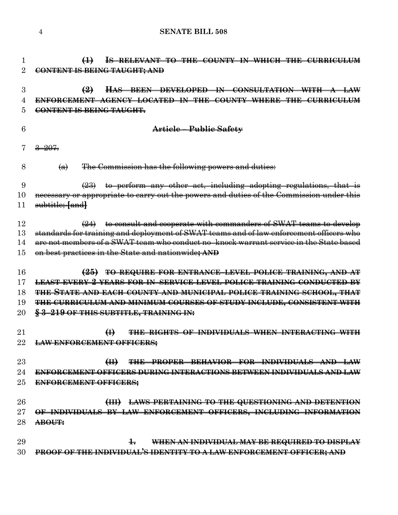| 1              | $\bigoplus$<br>IS RELEVANT TO THE COUNTY IN WHICH THE CURRICULUM                                                                           |
|----------------|--------------------------------------------------------------------------------------------------------------------------------------------|
| $\overline{2}$ | CONTENT IS BEING TAUGHT; AND                                                                                                               |
|                |                                                                                                                                            |
| 3              | HAS BEEN DEVELOPED IN CONSULTATION WITH A LAW<br>$\bigoplus$                                                                               |
| 4              | ENFORCEMENT AGENCY LOCATED IN THE COUNTY WHERE THE CURRICULUM                                                                              |
| 5              | CONTENT IS BEING TAUGHT.                                                                                                                   |
|                |                                                                                                                                            |
| 6              | Article - Public Safety                                                                                                                    |
|                | $3 - 207$                                                                                                                                  |
|                |                                                                                                                                            |
| 8              | The Commission has the following powers and duties:<br>$\left(\bigoplus\right)$                                                            |
|                |                                                                                                                                            |
| 9              | $(23)$ to perform any other act, including adopting regulations, that is                                                                   |
| 10             | necessary or appropriate to carry out the powers and duties of the Commission under this                                                   |
| 11             | subtitle: fandl                                                                                                                            |
|                |                                                                                                                                            |
| 12             | $(24)$ to consult and cooperate with commanders of SWAT teams to develop                                                                   |
| 13             | standards for training and deployment of SWAT teams and of law enforcement officers who                                                    |
| 14             | are not members of a SWAT team who conduct no-knock warrant service in the State based                                                     |
| 15             | on best practices in the State and nationwide; AND                                                                                         |
| 16             |                                                                                                                                            |
| 17             | (25) TO REQUIRE FOR ENTRANCE-LEVEL POLICE TRAINING, AND AT<br><b>LEAST EVERY 2 VEARS FOR IN-SERVICE LEVEL POLICE TRAINING CONDUCTED BY</b> |
|                |                                                                                                                                            |
| 18             | THE STATE AND EACH COUNTY AND MUNICIPAL POLICE TRAINING SCHOOL, THAT                                                                       |
| 19             | THE CURRICULUM AND MINIMUM COURSES OF STUDY INCLUDE, CONSISTENT WITH                                                                       |
| $20\,$         | § 3-219 OF THIS SUBTITLE, TRAINING IN:                                                                                                     |
| 21             | <b>THE RIGHTS OF INDIVIDUALS WHEN INTERACTING WITH</b>                                                                                     |
|                | $\bigoplus$                                                                                                                                |
|                | <del>LAW ENFORCEMENT OFFICERS;</del>                                                                                                       |
| $23\,$         | THE PROPER BEHAVIOR FOR INDIVIDUALS AND LAW<br>H                                                                                           |
| 24             | ENFORCEMENT OFFICERS DURING INTERACTIONS BETWEEN INDIVIDUALS AND LAW                                                                       |
| $25\,$         | ENFORCEMENT OFFICERS;                                                                                                                      |
|                |                                                                                                                                            |
| $26\,$         | <b>LAWS PERTAINING TO THE QUESTIONING AND DETENTION</b><br>H                                                                               |
| $27\,$         | OFFICERS, INCLUDING INFORMATION<br>OF INDIVIDUALS BY LAW ENFORCEMENT                                                                       |
| $^{28}$        | ABOUT:                                                                                                                                     |
|                |                                                                                                                                            |
| 29             | ┺<br>WHEN AN INDIVIDUAL MAY BE REQUIRED TO DISPLAY                                                                                         |
| 30             | PROOF OF THE INDIVIDUAL'S IDENTITY TO A LAW ENFORCEMENT OFFICER; AND                                                                       |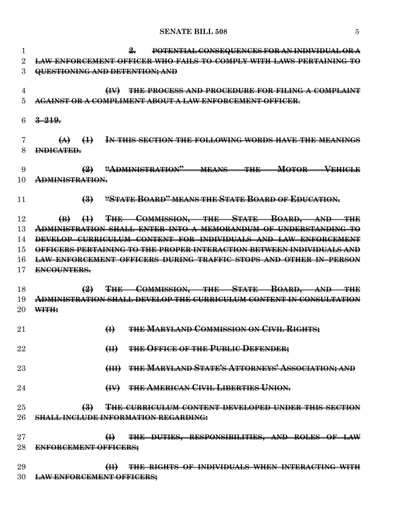#### **SENATE BILL 508** 5

 **2. POTENTIAL CONSEQUENCES FOR AN INDIVIDUAL OR A LAW ENFORCEMENT OFFICER WHO FAILS TO COMPLY WITH LAWS PERTAINING TO QUESTIONING AND DETENTION; AND (IV) THE PROCESS AND PROCEDURE FOR FILING A COMPLAINT AGAINST OR A COMPLIMENT ABOUT A LAW ENFORCEMENT OFFICER**. **3–219. (A) (1) IN THIS SECTION THE FOLLOWING WORDS HAVE THE MEANINGS INDICATED. (2) "ADMINISTRATION" MEANS THE MOTOR VEHICLE ADMINISTRATION. (3) "STATE BOARD" MEANS THE STATE BOARD OF EDUCATION. (B) (1) THE COMMISSION, THE STATE BOARD, AND THE ADMINISTRATION SHALL ENTER INTO A MEMORANDUM OF UNDERSTANDING TO DEVELOP CURRICULUM CONTENT FOR INDIVIDUALS AND LAW ENFORCEMENT OFFICERS PERTAINING TO THE PROPER INTERACTION BETWEEN INDIVIDUALS AND LAW ENFORCEMENT OFFICERS DURING TRAFFIC STOPS AND OTHER IN–PERSON ENCOUNTERS. (2) THE COMMISSION, THE STATE BOARD, AND THE ADMINISTRATION SHALL DEVELOP THE CURRICULUM CONTENT IN CONSULTATION WITH: (I) THE MARYLAND COMMISSION ON CIVIL RIGHTS; (II) THE OFFICE OF THE PUBLIC DEFENDER; (III) THE MARYLAND STATE'S ATTORNEYS' ASSOCIATION; AND (IV) THE AMERICAN CIVIL LIBERTIES UNION. (3) THE CURRICULUM CONTENT DEVELOPED UNDER THIS SECTION SHALL INCLUDE INFORMATION REGARDING: (I) THE DUTIES, RESPONSIBILITIES, AND ROLES OF LAW ENFORCEMENT OFFICERS; (II) THE RIGHTS OF INDIVIDUALS WHEN INTERACTING WITH LAW ENFORCEMENT OFFICERS;**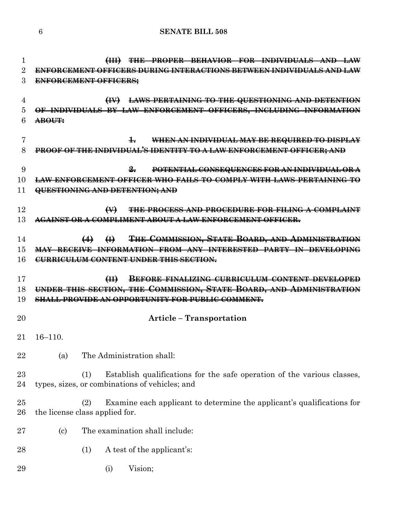| 1<br>$\overline{2}$<br>3 | <b>THE PROPER BEHAVIOR FOR INDIVIDUALS AND</b><br>ENFORCEMENT OFFICERS DURING INTERACTIONS BETWEEN INDIVIDUALS AND LAW<br><b>ENFORCEMENT OFFICERS:</b>                                                   |
|--------------------------|----------------------------------------------------------------------------------------------------------------------------------------------------------------------------------------------------------|
| $\overline{4}$<br>5<br>6 | (IV) LAWS PERTAINING TO THE QUESTIONING AND DETENTION<br>OF INDIVIDUALS BY LAW ENFORCEMENT OFFICERS, INCLUDING INFORMATION<br>ABOUT:                                                                     |
| 7<br>8                   | $\pm$<br>WHEN AN INDIVIDUAL MAY BE REQUIRED TO DISPLAY<br>PROOF OF THE INDIVIDUAL'S IDENTITY TO A LAW ENFORCEMENT OFFICER; AND                                                                           |
| 9<br>10<br>11            | $\frac{9}{2}$<br>POTENTIAL CONSEQUENCES FOR AN INDIVIDUAL OR A<br>LAW ENFORCEMENT OFFICER WHO FAILS TO COMPLY WITH LAWS PERTAINING TO<br>QUESTIONING AND DETENTION; AND                                  |
| 12<br>13                 | <b>THE PROCESS AND PROCEDURE FOR FILING A COMPLAINT</b><br>$\leftrightarrow$<br>AGAINST OR A COMPLIMENT ABOUT A LAW ENFORCEMENT OFFICER.                                                                 |
| 14<br>15<br>16           | THE COMMISSION, STATE BOARD, AND ADMINISTRATION<br>$\left(4\right)$ $\left(4\right)$<br>MAY RECEIVE INFORMATION FROM ANY INTERESTED PARTY IN DEVELOPING<br><b>CURRICULUM CONTENT UNDER THIS SECTION.</b> |
| 17<br>18<br>19           | BEFORE FINALIZING CURRICULUM CONTENT DEVELOPED<br>H<br>UNDER THIS SECTION, THE COMMISSION, STATE BOARD, AND ADMINISTRATION<br><b>SHALL PROVIDE AN OPPORTUNITY FOR PUBLIC COMMENT.</b>                    |
| 20                       | <b>Article - Transportation</b>                                                                                                                                                                          |
|                          |                                                                                                                                                                                                          |
| 21                       | $16 - 110$ .                                                                                                                                                                                             |
| 22                       | The Administration shall:<br>(a)                                                                                                                                                                         |
| 23<br>24                 | Establish qualifications for the safe operation of the various classes,<br>(1)<br>types, sizes, or combinations of vehicles; and                                                                         |
| 25<br>26                 | Examine each applicant to determine the applicant's qualifications for<br>(2)<br>the license class applied for.                                                                                          |
| 27                       | The examination shall include:<br>$\left( \mathrm{c}\right)$                                                                                                                                             |
| 28                       | A test of the applicant's:<br>(1)                                                                                                                                                                        |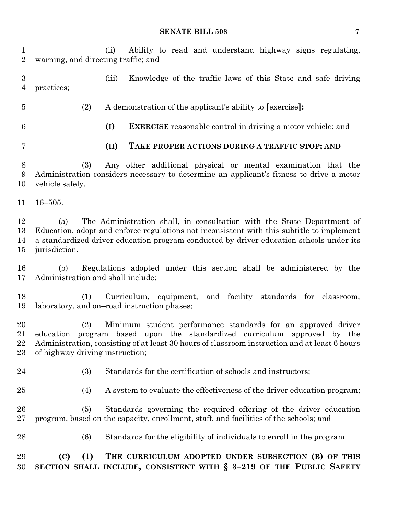#### **SENATE BILL 508** 7

(ii) Ability to read and understand highway signs regulating,

warning, and directing traffic; and

 (iii) Knowledge of the traffic laws of this State and safe driving practices; (2) A demonstration of the applicant's ability to **[**exercise**]: (I) EXERCISE** reasonable control in driving a motor vehicle; and **(II) TAKE PROPER ACTIONS DURING A TRAFFIC STOP; AND** (3) Any other additional physical or mental examination that the Administration considers necessary to determine an applicant's fitness to drive a motor vehicle safely. 16–505. (a) The Administration shall, in consultation with the State Department of Education, adopt and enforce regulations not inconsistent with this subtitle to implement a standardized driver education program conducted by driver education schools under its jurisdiction. (b) Regulations adopted under this section shall be administered by the Administration and shall include: (1) Curriculum, equipment, and facility standards for classroom, laboratory, and on–road instruction phases; (2) Minimum student performance standards for an approved driver education program based upon the standardized curriculum approved by the Administration, consisting of at least 30 hours of classroom instruction and at least 6 hours of highway driving instruction; (3) Standards for the certification of schools and instructors; (4) A system to evaluate the effectiveness of the driver education program; (5) Standards governing the required offering of the driver education program, based on the capacity, enrollment, staff, and facilities of the schools; and (6) Standards for the eligibility of individuals to enroll in the program. **(C) (1) THE CURRICULUM ADOPTED UNDER SUBSECTION (B) OF THIS SECTION SHALL INCLUDE, CONSISTENT WITH § 3–219 OF THE PUBLIC SAFETY**